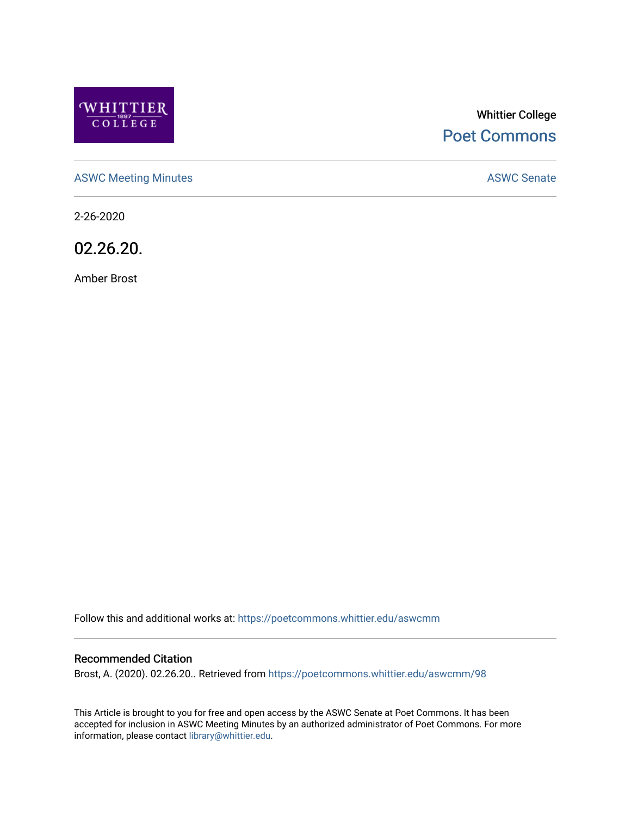

# Whittier College [Poet Commons](https://poetcommons.whittier.edu/)

[ASWC Meeting Minutes](https://poetcommons.whittier.edu/aswcmm) **ASWC Senate** 

2-26-2020

02.26.20.

Amber Brost

Follow this and additional works at: [https://poetcommons.whittier.edu/aswcmm](https://poetcommons.whittier.edu/aswcmm?utm_source=poetcommons.whittier.edu%2Faswcmm%2F98&utm_medium=PDF&utm_campaign=PDFCoverPages)

#### Recommended Citation

Brost, A. (2020). 02.26.20.. Retrieved from [https://poetcommons.whittier.edu/aswcmm/98](https://poetcommons.whittier.edu/aswcmm/98?utm_source=poetcommons.whittier.edu%2Faswcmm%2F98&utm_medium=PDF&utm_campaign=PDFCoverPages)

This Article is brought to you for free and open access by the ASWC Senate at Poet Commons. It has been accepted for inclusion in ASWC Meeting Minutes by an authorized administrator of Poet Commons. For more information, please contact [library@whittier.edu.](mailto:library@whittier.edu)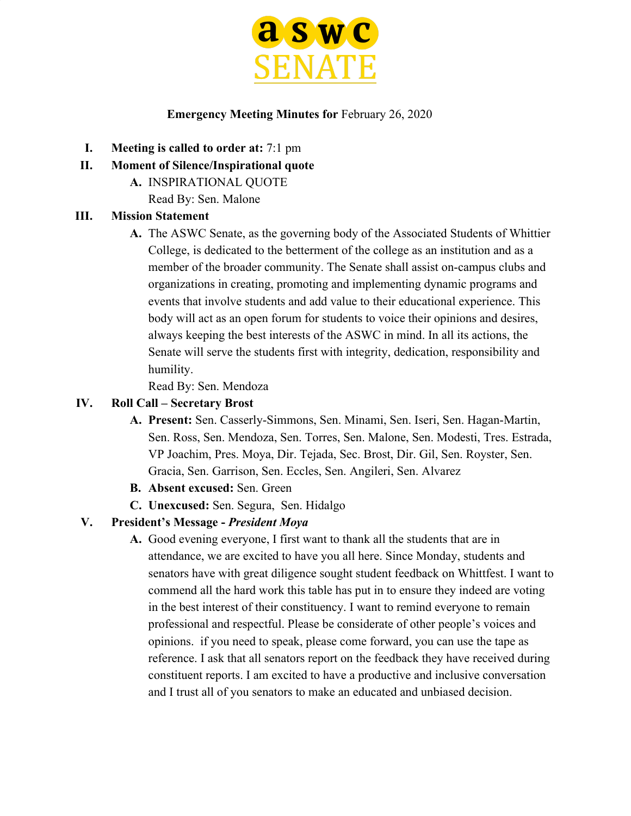

### **Emergency Meeting Minutes for** February 26, 2020

- **I. Meeting is called to order at:** 7:1 pm
- **II. Moment of Silence/Inspirational quote**
	- **A.** INSPIRATIONAL QUOTE

Read By: Sen. Malone

### **III. Mission Statement**

**A.** The ASWC Senate, as the governing body of the Associated Students of Whittier College, is dedicated to the betterment of the college as an institution and as a member of the broader community. The Senate shall assist on-campus clubs and organizations in creating, promoting and implementing dynamic programs and events that involve students and add value to their educational experience. This body will act as an open forum for students to voice their opinions and desires, always keeping the best interests of the ASWC in mind. In all its actions, the Senate will serve the students first with integrity, dedication, responsibility and humility.

Read By: Sen. Mendoza

### **IV. Roll Call – Secretary Brost**

- **A. Present:** Sen. Casserly-Simmons, Sen. Minami, Sen. Iseri, Sen. Hagan-Martin, Sen. Ross, Sen. Mendoza, Sen. Torres, Sen. Malone, Sen. Modesti, Tres. Estrada, VP Joachim, Pres. Moya, Dir. Tejada, Sec. Brost, Dir. Gil, Sen. Royster, Sen. Gracia, Sen. Garrison, Sen. Eccles, Sen. Angileri, Sen. Alvarez
- **B. Absent excused:** Sen. Green
- **C. Unexcused:** Sen. Segura, Sen. Hidalgo

# **V. President's Message -** *President Moya*

**A.** Good evening everyone, I first want to thank all the students that are in attendance, we are excited to have you all here. Since Monday, students and senators have with great diligence sought student feedback on Whittfest. I want to commend all the hard work this table has put in to ensure they indeed are voting in the best interest of their constituency. I want to remind everyone to remain professional and respectful. Please be considerate of other people's voices and opinions. if you need to speak, please come forward, you can use the tape as reference. I ask that all senators report on the feedback they have received during constituent reports. I am excited to have a productive and inclusive conversation and I trust all of you senators to make an educated and unbiased decision.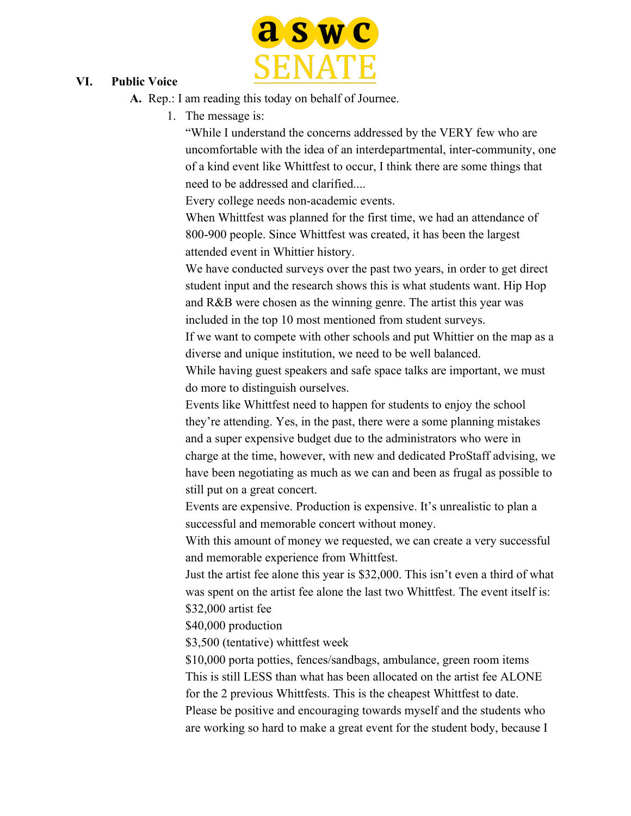

#### **VI. Public Voice**

**A.** Rep.: I am reading this today on behalf of Journee.

1. The message is:

"While I understand the concerns addressed by the VERY few who are uncomfortable with the idea of an interdepartmental, inter-community, one of a kind event like Whittfest to occur, I think there are some things that need to be addressed and clarified....

Every college needs non-academic events.

When Whittfest was planned for the first time, we had an attendance of 800-900 people. Since Whittfest was created, it has been the largest attended event in Whittier history.

We have conducted surveys over the past two years, in order to get direct student input and the research shows this is what students want. Hip Hop and R&B were chosen as the winning genre. The artist this year was included in the top 10 most mentioned from student surveys.

If we want to compete with other schools and put Whittier on the map as a diverse and unique institution, we need to be well balanced.

While having guest speakers and safe space talks are important, we must do more to distinguish ourselves.

Events like Whittfest need to happen for students to enjoy the school they're attending. Yes, in the past, there were a some planning mistakes and a super expensive budget due to the administrators who were in charge at the time, however, with new and dedicated ProStaff advising, we have been negotiating as much as we can and been as frugal as possible to still put on a great concert.

Events are expensive. Production is expensive. It's unrealistic to plan a successful and memorable concert without money.

With this amount of money we requested, we can create a very successful and memorable experience from Whittfest.

Just the artist fee alone this year is \$32,000. This isn't even a third of what was spent on the artist fee alone the last two Whittfest. The event itself is: \$32,000 artist fee

\$40,000 production

\$3,500 (tentative) whittfest week

\$10,000 porta potties, fences/sandbags, ambulance, green room items This is still LESS than what has been allocated on the artist fee ALONE for the 2 previous Whittfests. This is the cheapest Whittfest to date. Please be positive and encouraging towards myself and the students who are working so hard to make a great event for the student body, because I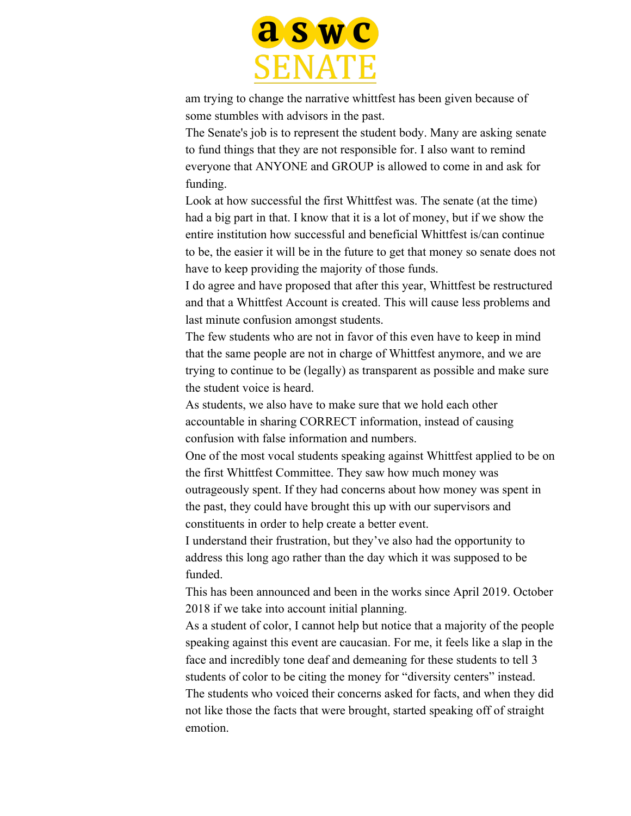

am trying to change the narrative whittfest has been given because of some stumbles with advisors in the past.

The Senate's job is to represent the student body. Many are asking senate to fund things that they are not responsible for. I also want to remind everyone that ANYONE and GROUP is allowed to come in and ask for funding.

Look at how successful the first Whittfest was. The senate (at the time) had a big part in that. I know that it is a lot of money, but if we show the entire institution how successful and beneficial Whittfest is/can continue to be, the easier it will be in the future to get that money so senate does not have to keep providing the majority of those funds.

I do agree and have proposed that after this year, Whittfest be restructured and that a Whittfest Account is created. This will cause less problems and last minute confusion amongst students.

The few students who are not in favor of this even have to keep in mind that the same people are not in charge of Whittfest anymore, and we are trying to continue to be (legally) as transparent as possible and make sure the student voice is heard.

As students, we also have to make sure that we hold each other accountable in sharing CORRECT information, instead of causing confusion with false information and numbers.

One of the most vocal students speaking against Whittfest applied to be on the first Whittfest Committee. They saw how much money was outrageously spent. If they had concerns about how money was spent in the past, they could have brought this up with our supervisors and constituents in order to help create a better event.

I understand their frustration, but they've also had the opportunity to address this long ago rather than the day which it was supposed to be funded.

This has been announced and been in the works since April 2019. October 2018 if we take into account initial planning.

As a student of color, I cannot help but notice that a majority of the people speaking against this event are caucasian. For me, it feels like a slap in the face and incredibly tone deaf and demeaning for these students to tell 3 students of color to be citing the money for "diversity centers" instead. The students who voiced their concerns asked for facts, and when they did not like those the facts that were brought, started speaking off of straight emotion.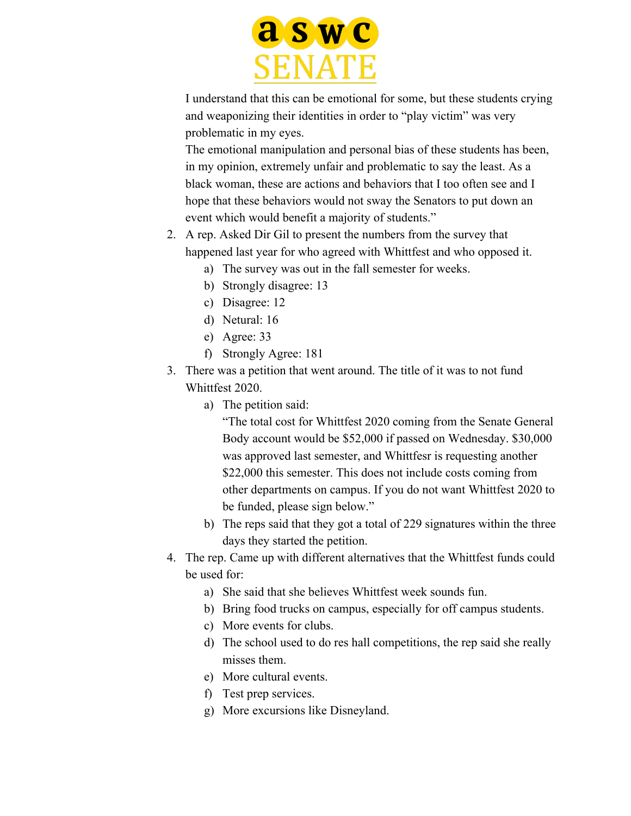

I understand that this can be emotional for some, but these students crying and weaponizing their identities in order to "play victim" was very problematic in my eyes.

The emotional manipulation and personal bias of these students has been, in my opinion, extremely unfair and problematic to say the least. As a black woman, these are actions and behaviors that I too often see and I hope that these behaviors would not sway the Senators to put down an event which would benefit a majority of students."

- 2. A rep. Asked Dir Gil to present the numbers from the survey that happened last year for who agreed with Whittfest and who opposed it.
	- a) The survey was out in the fall semester for weeks.
	- b) Strongly disagree: 13
	- c) Disagree: 12
	- d) Netural: 16
	- e) Agree: 33
	- f) Strongly Agree: 181
- 3. There was a petition that went around. The title of it was to not fund Whittfest 2020.
	- a) The petition said:

"The total cost for Whittfest 2020 coming from the Senate General Body account would be \$52,000 if passed on Wednesday. \$30,000 was approved last semester, and Whittfesr is requesting another \$22,000 this semester. This does not include costs coming from other departments on campus. If you do not want Whittfest 2020 to be funded, please sign below."

- b) The reps said that they got a total of 229 signatures within the three days they started the petition.
- 4. The rep. Came up with different alternatives that the Whittfest funds could be used for:
	- a) She said that she believes Whittfest week sounds fun.
	- b) Bring food trucks on campus, especially for off campus students.
	- c) More events for clubs.
	- d) The school used to do res hall competitions, the rep said she really misses them.
	- e) More cultural events.
	- f) Test prep services.
	- g) More excursions like Disneyland.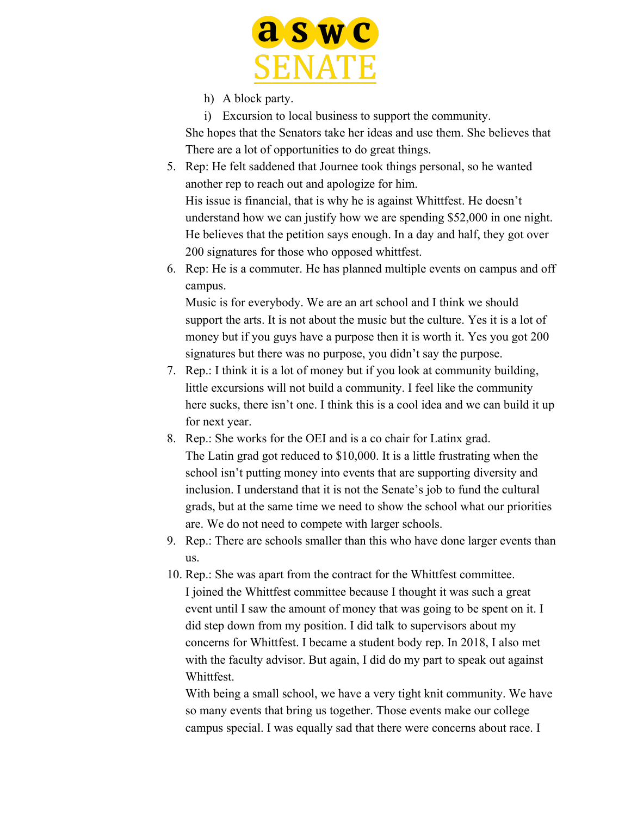

- h) A block party.
- i) Excursion to local business to support the community.

She hopes that the Senators take her ideas and use them. She believes that There are a lot of opportunities to do great things.

- 5. Rep: He felt saddened that Journee took things personal, so he wanted another rep to reach out and apologize for him. His issue is financial, that is why he is against Whittfest. He doesn't understand how we can justify how we are spending \$52,000 in one night. He believes that the petition says enough. In a day and half, they got over 200 signatures for those who opposed whittfest.
- 6. Rep: He is a commuter. He has planned multiple events on campus and off campus.

Music is for everybody. We are an art school and I think we should support the arts. It is not about the music but the culture. Yes it is a lot of money but if you guys have a purpose then it is worth it. Yes you got 200 signatures but there was no purpose, you didn't say the purpose.

- 7. Rep.: I think it is a lot of money but if you look at community building, little excursions will not build a community. I feel like the community here sucks, there isn't one. I think this is a cool idea and we can build it up for next year.
- 8. Rep.: She works for the OEI and is a co chair for Latinx grad. The Latin grad got reduced to \$10,000. It is a little frustrating when the school isn't putting money into events that are supporting diversity and inclusion. I understand that it is not the Senate's job to fund the cultural grads, but at the same time we need to show the school what our priorities are. We do not need to compete with larger schools.
- 9. Rep.: There are schools smaller than this who have done larger events than us.
- 10. Rep.: She was apart from the contract for the Whittfest committee. I joined the Whittfest committee because I thought it was such a great event until I saw the amount of money that was going to be spent on it. I did step down from my position. I did talk to supervisors about my concerns for Whittfest. I became a student body rep. In 2018, I also met with the faculty advisor. But again, I did do my part to speak out against Whittfest.

With being a small school, we have a very tight knit community. We have so many events that bring us together. Those events make our college campus special. I was equally sad that there were concerns about race. I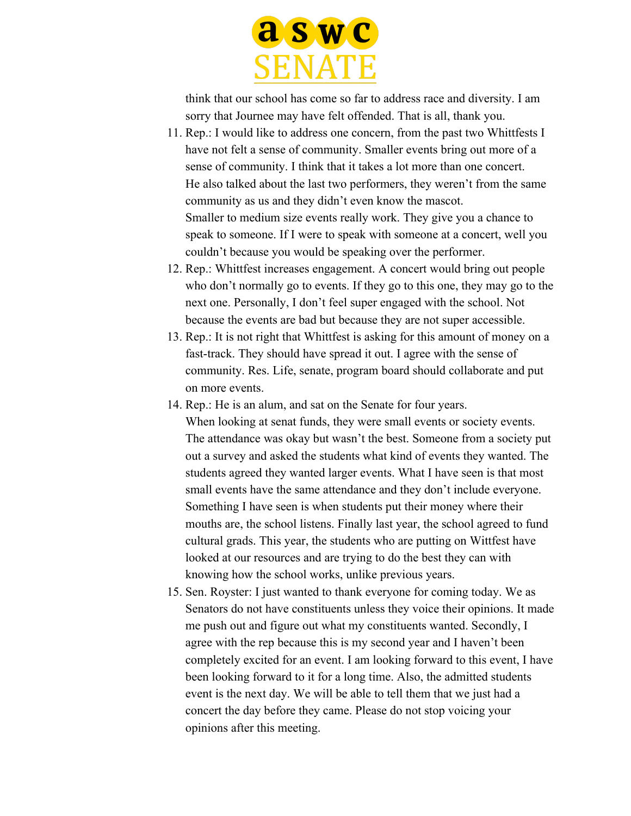

think that our school has come so far to address race and diversity. I am sorry that Journee may have felt offended. That is all, thank you.

- 11. Rep.: I would like to address one concern, from the past two Whittfests I have not felt a sense of community. Smaller events bring out more of a sense of community. I think that it takes a lot more than one concert. He also talked about the last two performers, they weren't from the same community as us and they didn't even know the mascot. Smaller to medium size events really work. They give you a chance to speak to someone. If I were to speak with someone at a concert, well you couldn't because you would be speaking over the performer.
- 12. Rep.: Whittfest increases engagement. A concert would bring out people who don't normally go to events. If they go to this one, they may go to the next one. Personally, I don't feel super engaged with the school. Not because the events are bad but because they are not super accessible.
- 13. Rep.: It is not right that Whittfest is asking for this amount of money on a fast-track. They should have spread it out. I agree with the sense of community. Res. Life, senate, program board should collaborate and put on more events.
- 14. Rep.: He is an alum, and sat on the Senate for four years. When looking at senat funds, they were small events or society events. The attendance was okay but wasn't the best. Someone from a society put out a survey and asked the students what kind of events they wanted. The students agreed they wanted larger events. What I have seen is that most small events have the same attendance and they don't include everyone. Something I have seen is when students put their money where their mouths are, the school listens. Finally last year, the school agreed to fund cultural grads. This year, the students who are putting on Wittfest have looked at our resources and are trying to do the best they can with knowing how the school works, unlike previous years.
- 15. Sen. Royster: I just wanted to thank everyone for coming today. We as Senators do not have constituents unless they voice their opinions. It made me push out and figure out what my constituents wanted. Secondly, I agree with the rep because this is my second year and I haven't been completely excited for an event. I am looking forward to this event, I have been looking forward to it for a long time. Also, the admitted students event is the next day. We will be able to tell them that we just had a concert the day before they came. Please do not stop voicing your opinions after this meeting.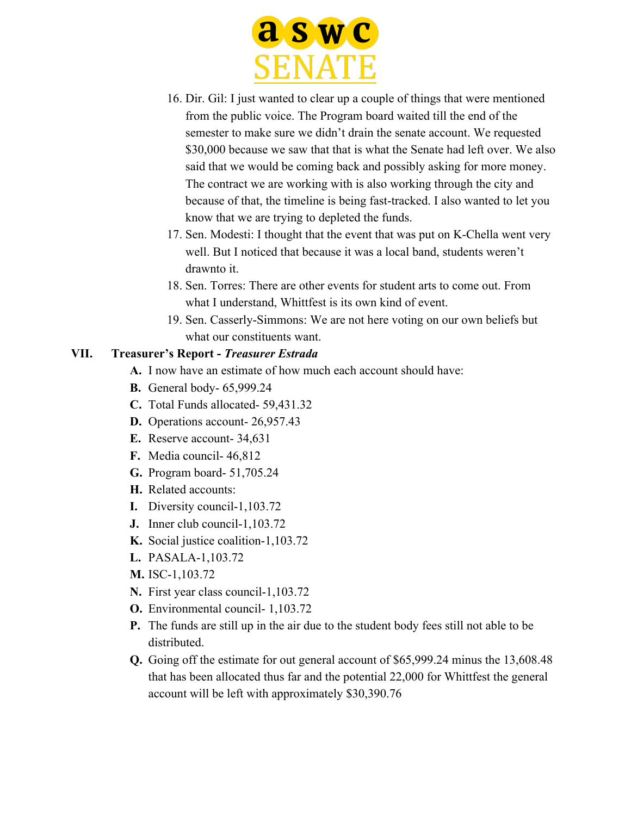

- 16. Dir. Gil: I just wanted to clear up a couple of things that were mentioned from the public voice. The Program board waited till the end of the semester to make sure we didn't drain the senate account. We requested \$30,000 because we saw that that is what the Senate had left over. We also said that we would be coming back and possibly asking for more money. The contract we are working with is also working through the city and because of that, the timeline is being fast-tracked. I also wanted to let you know that we are trying to depleted the funds.
- 17. Sen. Modesti: I thought that the event that was put on K-Chella went very well. But I noticed that because it was a local band, students weren't drawnto it.
- 18. Sen. Torres: There are other events for student arts to come out. From what I understand, Whittfest is its own kind of event.
- 19. Sen. Casserly-Simmons: We are not here voting on our own beliefs but what our constituents want.

#### **VII. Treasurer's Report -** *Treasurer Estrada*

- **A.** I now have an estimate of how much each account should have:
- **B.** General body- 65,999.24
- **C.** Total Funds allocated- 59,431.32
- **D.** Operations account- 26,957.43
- **E.** Reserve account- 34,631
- **F.** Media council- 46,812
- **G.** Program board- 51,705.24
- **H.** Related accounts:
- **I.** Diversity council-1,103.72
- **J.** Inner club council-1,103.72
- **K.** Social justice coalition-1,103.72
- **L.** PASALA-1,103.72
- **M.** ISC-1,103.72
- **N.** First year class council-1,103.72
- **O.** Environmental council- 1,103.72
- **P.** The funds are still up in the air due to the student body fees still not able to be distributed.
- **Q.** Going off the estimate for out general account of \$65,999.24 minus the 13,608.48 that has been allocated thus far and the potential 22,000 for Whittfest the general account will be left with approximately \$30,390.76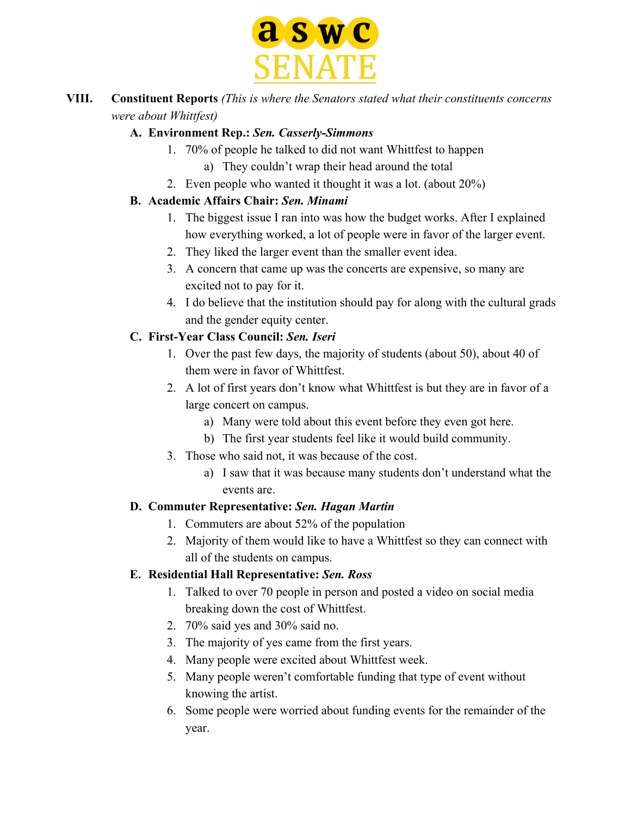

### **VIII. Constituent Reports** *(This is where the Senators stated what their constituents concerns were about Whittfest)*

### **A. Environment Rep.:** *Sen. Casserly-Simmons*

- 1. 70% of people he talked to did not want Whittfest to happen
	- a) They couldn't wrap their head around the total
- 2. Even people who wanted it thought it was a lot. (about 20%)

## **B. Academic Affairs Chair:** *Sen. Minami*

- 1. The biggest issue I ran into was how the budget works. After I explained how everything worked, a lot of people were in favor of the larger event.
- 2. They liked the larger event than the smaller event idea.
- 3. A concern that came up was the concerts are expensive, so many are excited not to pay for it.
- 4. I do believe that the institution should pay for along with the cultural grads and the gender equity center.

# **C. First-Year Class Council:** *Sen. Iseri*

- 1. Over the past few days, the majority of students (about 50), about 40 of them were in favor of Whittfest.
- 2. A lot of first years don't know what Whittfest is but they are in favor of a large concert on campus.
	- a) Many were told about this event before they even got here.
	- b) The first year students feel like it would build community.
- 3. Those who said not, it was because of the cost.
	- a) I saw that it was because many students don't understand what the events are.

# **D. Commuter Representative:** *Sen. Hagan Martin*

- 1. Commuters are about 52% of the population
- 2. Majority of them would like to have a Whittfest so they can connect with all of the students on campus.

# **E. Residential Hall Representative:** *Sen. Ross*

- 1. Talked to over 70 people in person and posted a video on social media breaking down the cost of Whittfest.
- 2. 70% said yes and 30% said no.
- 3. The majority of yes came from the first years.
- 4. Many people were excited about Whittfest week.
- 5. Many people weren't comfortable funding that type of event without knowing the artist.
- 6. Some people were worried about funding events for the remainder of the year.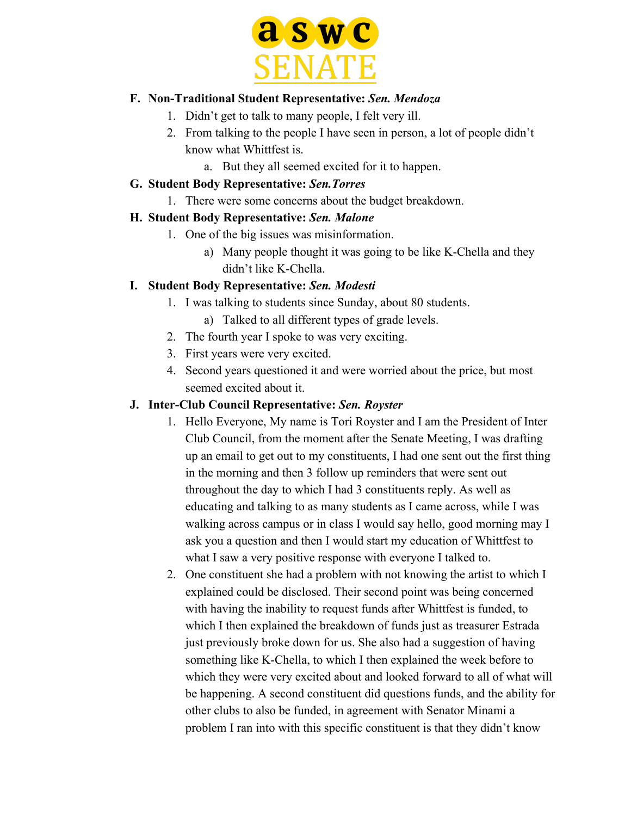

#### **F. Non-Traditional Student Representative:** *Sen. Mendoza*

- 1. Didn't get to talk to many people, I felt very ill.
- 2. From talking to the people I have seen in person, a lot of people didn't know what Whittfest is.
	- a. But they all seemed excited for it to happen.

#### **G. Student Body Representative:** *Sen.Torres*

1. There were some concerns about the budget breakdown.

### **H. Student Body Representative:** *Sen. Malone*

- 1. One of the big issues was misinformation.
	- a) Many people thought it was going to be like K-Chella and they didn't like K-Chella.

### **I. Student Body Representative:** *Sen. Modesti*

- 1. I was talking to students since Sunday, about 80 students.
	- a) Talked to all different types of grade levels.
- 2. The fourth year I spoke to was very exciting.
- 3. First years were very excited.
- 4. Second years questioned it and were worried about the price, but most seemed excited about it.

### **J. Inter-Club Council Representative:** *Sen. Royster*

- 1. Hello Everyone, My name is Tori Royster and I am the President of Inter Club Council, from the moment after the Senate Meeting, I was drafting up an email to get out to my constituents, I had one sent out the first thing in the morning and then 3 follow up reminders that were sent out throughout the day to which I had 3 constituents reply. As well as educating and talking to as many students as I came across, while I was walking across campus or in class I would say hello, good morning may I ask you a question and then I would start my education of Whittfest to what I saw a very positive response with everyone I talked to.
- 2. One constituent she had a problem with not knowing the artist to which I explained could be disclosed. Their second point was being concerned with having the inability to request funds after Whittfest is funded, to which I then explained the breakdown of funds just as treasurer Estrada just previously broke down for us. She also had a suggestion of having something like K-Chella, to which I then explained the week before to which they were very excited about and looked forward to all of what will be happening. A second constituent did questions funds, and the ability for other clubs to also be funded, in agreement with Senator Minami a problem I ran into with this specific constituent is that they didn't know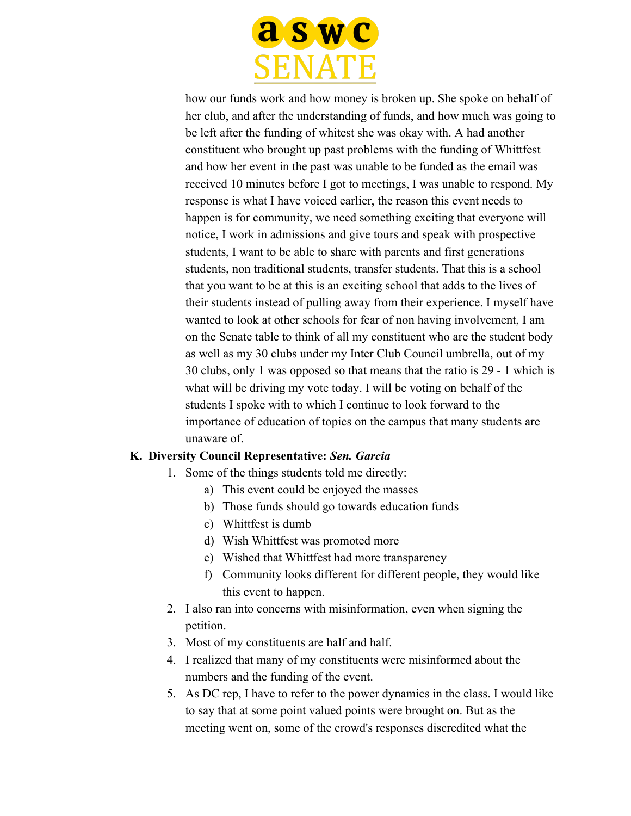

how our funds work and how money is broken up. She spoke on behalf of her club, and after the understanding of funds, and how much was going to be left after the funding of whitest she was okay with. A had another constituent who brought up past problems with the funding of Whittfest and how her event in the past was unable to be funded as the email was received 10 minutes before I got to meetings, I was unable to respond. My response is what I have voiced earlier, the reason this event needs to happen is for community, we need something exciting that everyone will notice, I work in admissions and give tours and speak with prospective students, I want to be able to share with parents and first generations students, non traditional students, transfer students. That this is a school that you want to be at this is an exciting school that adds to the lives of their students instead of pulling away from their experience. I myself have wanted to look at other schools for fear of non having involvement, I am on the Senate table to think of all my constituent who are the student body as well as my 30 clubs under my Inter Club Council umbrella, out of my 30 clubs, only 1 was opposed so that means that the ratio is 29 - 1 which is what will be driving my vote today. I will be voting on behalf of the students I spoke with to which I continue to look forward to the importance of education of topics on the campus that many students are unaware of.

#### **K. Diversity Council Representative:** *Sen. Garcia*

- 1. Some of the things students told me directly:
	- a) This event could be enjoyed the masses
	- b) Those funds should go towards education funds
	- c) Whittfest is dumb
	- d) Wish Whittfest was promoted more
	- e) Wished that Whittfest had more transparency
	- f) Community looks different for different people, they would like this event to happen.
- 2. I also ran into concerns with misinformation, even when signing the petition.
- 3. Most of my constituents are half and half.
- 4. I realized that many of my constituents were misinformed about the numbers and the funding of the event.
- 5. As DC rep, I have to refer to the power dynamics in the class. I would like to say that at some point valued points were brought on. But as the meeting went on, some of the crowd's responses discredited what the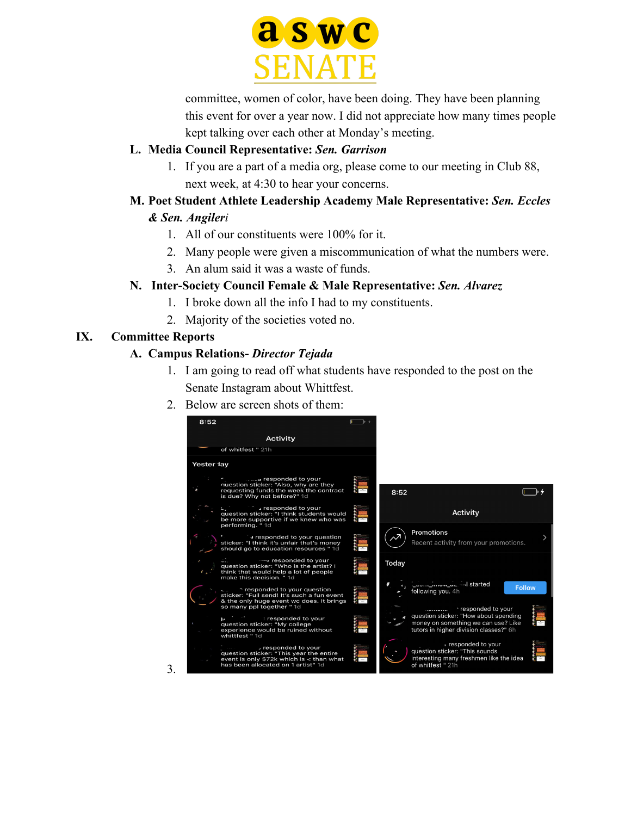

committee, women of color, have been doing. They have been planning this event for over a year now. I did not appreciate how many times people kept talking over each other at Monday's meeting.

#### **L. Media Council Representative:** *Sen. Garrison*

1. If you are a part of a media org, please come to our meeting in Club 88, next week, at 4:30 to hear your concerns.

### **M. Poet Student Athlete Leadership Academy Male Representative:** *Sen. Eccles*

### *& Sen. Angileri*

- 1. All of our constituents were 100% for it.
- 2. Many people were given a miscommunication of what the numbers were.
- 3. An alum said it was a waste of funds.

### **N. Inter-Society Council Female & Male Representative:** *Sen. Alvarez*

- 1. I broke down all the info I had to my constituents.
- 2. Majority of the societies voted no.

### **IX. Committee Reports**

3.

### **A. Campus Relations-** *Director Tejada*

- 1. I am going to read off what students have responded to the post on the Senate Instagram about Whittfest.
- 2. Below are screen shots of them:

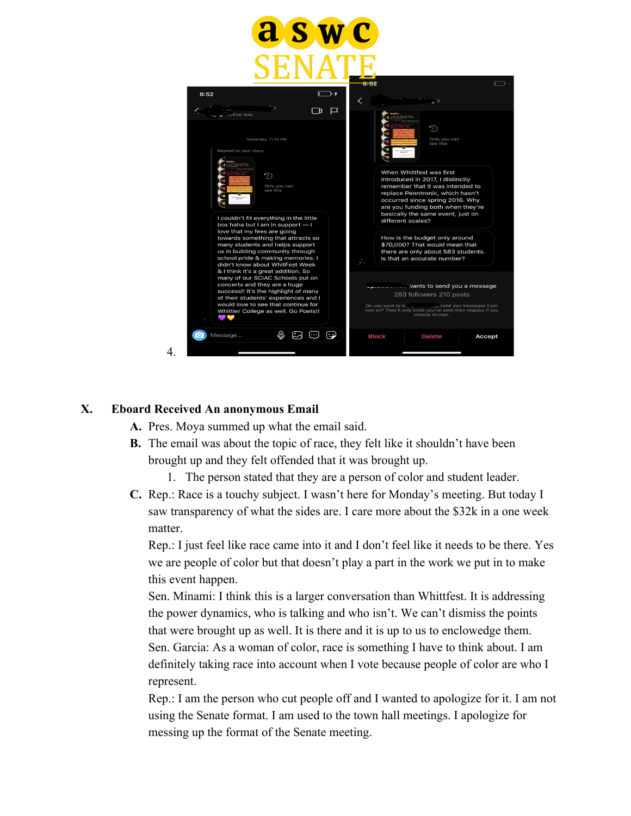

#### **X. Eboard Received An anonymous Email**

- **A.** Pres. Moya summed up what the email said.
- **B.** The email was about the topic of race, they felt like it shouldn't have been brought up and they felt offended that it was brought up.
	- 1. The person stated that they are a person of color and student leader.
- **C.** Rep.: Race is a touchy subject. I wasn't here for Monday's meeting. But today I saw transparency of what the sides are. I care more about the \$32k in a one week matter.

Rep.: I just feel like race came into it and I don't feel like it needs to be there. Yes we are people of color but that doesn't play a part in the work we put in to make this event happen.

Sen. Minami: I think this is a larger conversation than Whittfest. It is addressing the power dynamics, who is talking and who isn't. We can't dismiss the points that were brought up as well. It is there and it is up to us to enclowedge them. Sen. Garcia: As a woman of color, race is something I have to think about. I am definitely taking race into account when I vote because people of color are who I represent.

Rep.: I am the person who cut people off and I wanted to apologize for it. I am not using the Senate format. I am used to the town hall meetings. I apologize for messing up the format of the Senate meeting.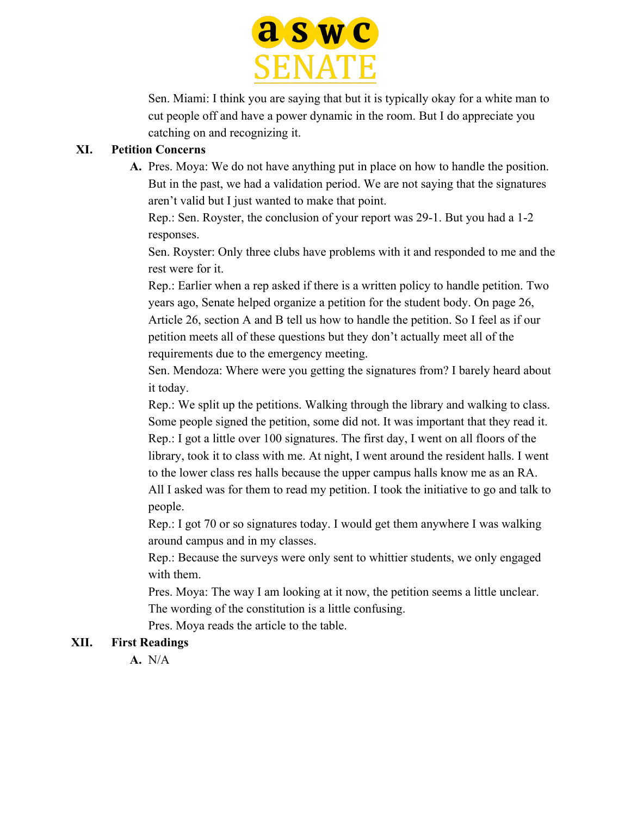

Sen. Miami: I think you are saying that but it is typically okay for a white man to cut people off and have a power dynamic in the room. But I do appreciate you catching on and recognizing it.

#### **XI. Petition Concerns**

**A.** Pres. Moya: We do not have anything put in place on how to handle the position. But in the past, we had a validation period. We are not saying that the signatures aren't valid but I just wanted to make that point.

Rep.: Sen. Royster, the conclusion of your report was 29-1. But you had a 1-2 responses.

Sen. Royster: Only three clubs have problems with it and responded to me and the rest were for it.

Rep.: Earlier when a rep asked if there is a written policy to handle petition. Two years ago, Senate helped organize a petition for the student body. On page 26, Article 26, section A and B tell us how to handle the petition. So I feel as if our petition meets all of these questions but they don't actually meet all of the requirements due to the emergency meeting.

Sen. Mendoza: Where were you getting the signatures from? I barely heard about it today.

Rep.: We split up the petitions. Walking through the library and walking to class. Some people signed the petition, some did not. It was important that they read it. Rep.: I got a little over 100 signatures. The first day, I went on all floors of the library, took it to class with me. At night, I went around the resident halls. I went

to the lower class res halls because the upper campus halls know me as an RA.

All I asked was for them to read my petition. I took the initiative to go and talk to people.

Rep.: I got 70 or so signatures today. I would get them anywhere I was walking around campus and in my classes.

Rep.: Because the surveys were only sent to whittier students, we only engaged with them.

Pres. Moya: The way I am looking at it now, the petition seems a little unclear. The wording of the constitution is a little confusing.

Pres. Moya reads the article to the table.

#### **XII. First Readings**

**A.** N/A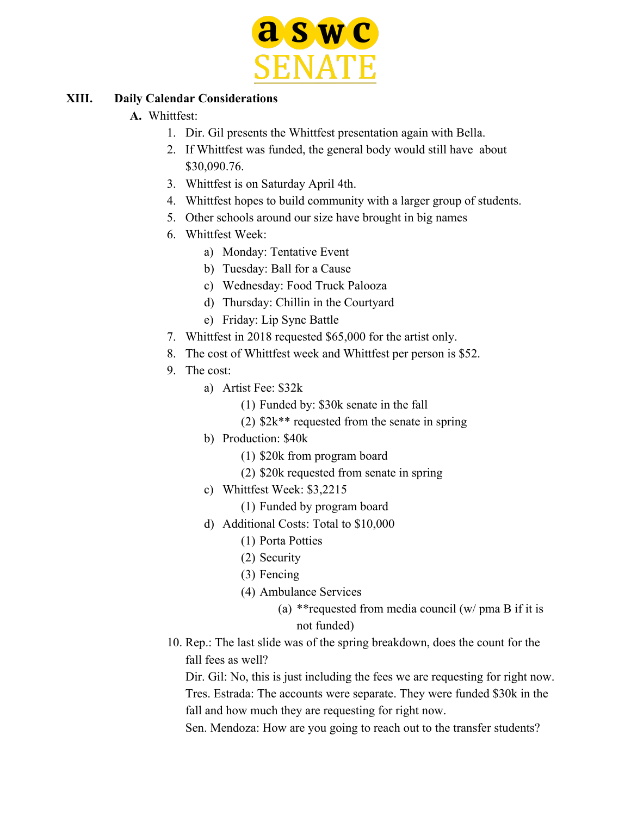

#### **XIII. Daily Calendar Considerations**

### **A.** Whittfest:

- 1. Dir. Gil presents the Whittfest presentation again with Bella.
- 2. If Whittfest was funded, the general body would still have about \$30,090.76.
- 3. Whittfest is on Saturday April 4th.
- 4. Whittfest hopes to build community with a larger group of students.
- 5. Other schools around our size have brought in big names
- 6. Whittfest Week:
	- a) Monday: Tentative Event
	- b) Tuesday: Ball for a Cause
	- c) Wednesday: Food Truck Palooza
	- d) Thursday: Chillin in the Courtyard
	- e) Friday: Lip Sync Battle
- 7. Whittfest in 2018 requested \$65,000 for the artist only.
- 8. The cost of Whittfest week and Whittfest per person is \$52.
- 9. The cost:
	- a) Artist Fee: \$32k
		- (1) Funded by: \$30k senate in the fall
		- (2) \$2k\*\* requested from the senate in spring
	- b) Production: \$40k
		- (1) \$20k from program board
		- (2) \$20k requested from senate in spring
	- c) Whittfest Week: \$3,2215
		- (1) Funded by program board
	- d) Additional Costs: Total to \$10,000
		- (1) Porta Potties
		- (2) Security
		- (3) Fencing
		- (4) Ambulance Services
			- (a) \*\*requested from media council (w/ pma B if it is not funded)
- 10. Rep.: The last slide was of the spring breakdown, does the count for the fall fees as well?

Dir. Gil: No, this is just including the fees we are requesting for right now. Tres. Estrada: The accounts were separate. They were funded \$30k in the fall and how much they are requesting for right now.

Sen. Mendoza: How are you going to reach out to the transfer students?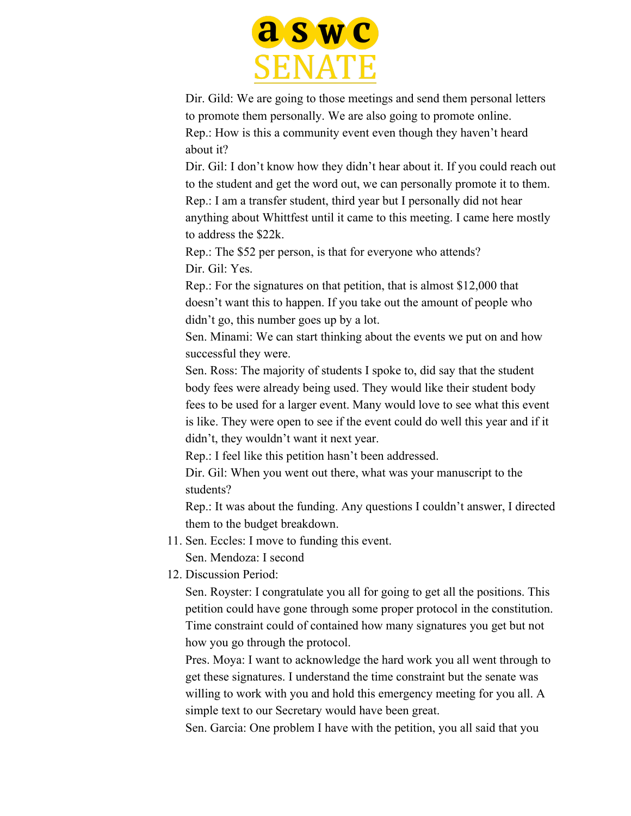

Dir. Gild: We are going to those meetings and send them personal letters to promote them personally. We are also going to promote online. Rep.: How is this a community event even though they haven't heard about it?

Dir. Gil: I don't know how they didn't hear about it. If you could reach out to the student and get the word out, we can personally promote it to them. Rep.: I am a transfer student, third year but I personally did not hear anything about Whittfest until it came to this meeting. I came here mostly to address the \$22k.

Rep.: The \$52 per person, is that for everyone who attends? Dir. Gil: Yes.

Rep.: For the signatures on that petition, that is almost \$12,000 that doesn't want this to happen. If you take out the amount of people who didn't go, this number goes up by a lot.

Sen. Minami: We can start thinking about the events we put on and how successful they were.

Sen. Ross: The majority of students I spoke to, did say that the student body fees were already being used. They would like their student body fees to be used for a larger event. Many would love to see what this event is like. They were open to see if the event could do well this year and if it didn't, they wouldn't want it next year.

Rep.: I feel like this petition hasn't been addressed.

Dir. Gil: When you went out there, what was your manuscript to the students?

Rep.: It was about the funding. Any questions I couldn't answer, I directed them to the budget breakdown.

11. Sen. Eccles: I move to funding this event.

Sen. Mendoza: I second

12. Discussion Period:

Sen. Royster: I congratulate you all for going to get all the positions. This petition could have gone through some proper protocol in the constitution. Time constraint could of contained how many signatures you get but not how you go through the protocol.

Pres. Moya: I want to acknowledge the hard work you all went through to get these signatures. I understand the time constraint but the senate was willing to work with you and hold this emergency meeting for you all. A simple text to our Secretary would have been great.

Sen. Garcia: One problem I have with the petition, you all said that you